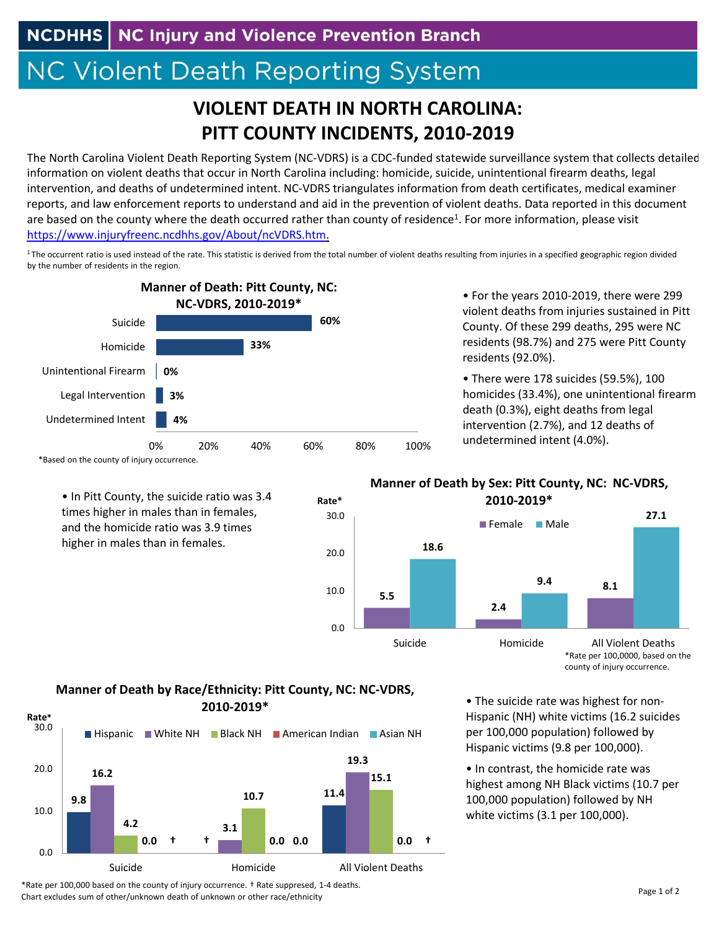**NCDHHS** NC Injury and Violence Prevention Branch

## NC Violent Death Reporting System

## **VIOLENT DEATH IN NORTH CAROLINA: PITT COUNTY INCIDENTS, 2010‐2019**

The North Carolina Violent Death Reporting System (NC‐VDRS) is a CDC‐funded statewide surveillance system that collects detailed information on violent deaths that occur in North Carolina including: homicide, suicide, unintentional firearm deaths, legal intervention, and deaths of undetermined intent. NC‐VDRS triangulates information from death certificates, medical examiner reports, and law enforcement reports to understand and aid in the prevention of violent deaths. Data reported in this document are based on the county where the death occurred rather than county of residence<sup>1</sup>. For more information, please visit https://www.injuryfreenc.ncdhhs.gov/About/ncVDRS.htm.

<sup>1</sup>The occurrent ratio is used instead of the rate. This statistic is derived from the total number of violent deaths resulting from injuries in a specified geographic region divided by the number of residents in the region.



• In Pitt County, the suicide ratio was 3.4 times higher in males than in females, and the homicide ratio was 3.9 times higher in males than in females.

• For the years 2010‐2019, there were 299 violent deaths from injuries sustained in Pitt County. Of these 299 deaths, 295 were NC residents (98.7%) and 275 were Pitt County residents (92.0%).

homicides (33.4%), one unintentional firearm death (0.3%), eight deaths from legal intervention (2.7%), and 12 deaths of undetermined intent (4.0%). • There were 178 suicides (59.5%), 100



## **Manner of Death by Sex: Pitt County, NC: NC‐VDRS,**

\*Rate per 100,0000, based on the county of injury occurrence.

## **Manner of Death by Race/Ethnicity: Pitt County, NC: NC‐VDRS, 2010‐2019\***



• The suicide rate was highest for non‐ Hispanic (NH) white victims (16.2 suicides per 100,000 population) followed by Hispanic victims (9.8 per 100,000).

• In contrast, the homicide rate was highest among NH Black victims (10.7 per 100,000 population) followed by NH white victims (3.1 per 100,000).

\*Rate per 100,000 based on the county of injury occurrence. † Rate suppresed, 1‐4 deaths. Chart excludes sum of other/unknown death of unknown or other race/ethnicity